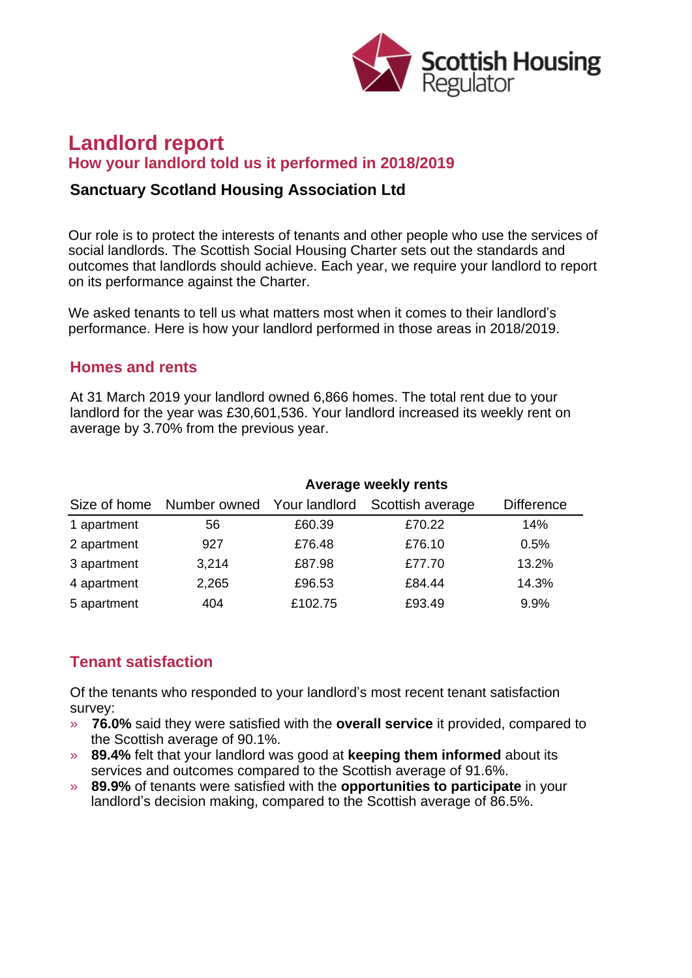

# **Landlord report How your landlord told us it performed in 2018/2019**

### **Sanctuary Scotland Housing Association Ltd**

Our role is to protect the interests of tenants and other people who use the services of social landlords. The Scottish Social Housing Charter sets out the standards and outcomes that landlords should achieve. Each year, we require your landlord to report on its performance against the Charter.

We asked tenants to tell us what matters most when it comes to their landlord's performance. Here is how your landlord performed in those areas in 2018/2019.

#### **Homes and rents**

At 31 March 2019 your landlord owned 6,866 homes. The total rent due to your landlord for the year was £30,601,536. Your landlord increased its weekly rent on average by 3.70% from the previous year.

|              | Average weekly rents |               |                  |                   |
|--------------|----------------------|---------------|------------------|-------------------|
| Size of home | Number owned         | Your landlord | Scottish average | <b>Difference</b> |
| 1 apartment  | 56                   | £60.39        | £70.22           | 14%               |
| 2 apartment  | 927                  | £76.48        | £76.10           | 0.5%              |
| 3 apartment  | 3,214                | £87.98        | £77.70           | 13.2%             |
| 4 apartment  | 2,265                | £96.53        | £84.44           | 14.3%             |
| 5 apartment  | 404                  | £102.75       | £93.49           | 9.9%              |

## **Tenant satisfaction**

Of the tenants who responded to your landlord's most recent tenant satisfaction survey:

- » **76.0%** said they were satisfied with the **overall service** it provided, compared to the Scottish average of 90.1%.
- » **89.4%** felt that your landlord was good at **keeping them informed** about its services and outcomes compared to the Scottish average of 91.6%.
- » **89.9%** of tenants were satisfied with the **opportunities to participate** in your landlord's decision making, compared to the Scottish average of 86.5%.